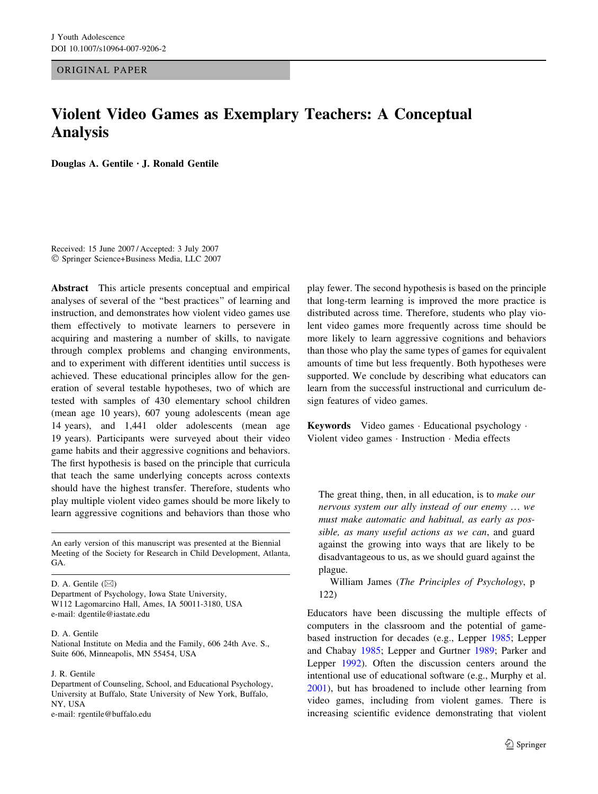ORIGINAL PAPER

# Violent Video Games as Exemplary Teachers: A Conceptual Analysis

Douglas A. Gentile · J. Ronald Gentile

Received: 15 June 2007 / Accepted: 3 July 2007 Springer Science+Business Media, LLC 2007

Abstract This article presents conceptual and empirical analyses of several of the ''best practices'' of learning and instruction, and demonstrates how violent video games use them effectively to motivate learners to persevere in acquiring and mastering a number of skills, to navigate through complex problems and changing environments, and to experiment with different identities until success is achieved. These educational principles allow for the generation of several testable hypotheses, two of which are tested with samples of 430 elementary school children (mean age 10 years), 607 young adolescents (mean age 14 years), and 1,441 older adolescents (mean age 19 years). Participants were surveyed about their video game habits and their aggressive cognitions and behaviors. The first hypothesis is based on the principle that curricula that teach the same underlying concepts across contexts should have the highest transfer. Therefore, students who play multiple violent video games should be more likely to learn aggressive cognitions and behaviors than those who

An early version of this manuscript was presented at the Biennial Meeting of the Society for Research in Child Development, Atlanta, GA.

D. A. Gentile  $(\boxtimes)$ Department of Psychology, Iowa State University, W112 Lagomarcino Hall, Ames, IA 50011-3180, USA e-mail: dgentile@iastate.edu

#### D. A. Gentile

National Institute on Media and the Family, 606 24th Ave. S., Suite 606, Minneapolis, MN 55454, USA

#### J. R. Gentile

Department of Counseling, School, and Educational Psychology, University at Buffalo, State University of New York, Buffalo, NY, USA e-mail: rgentile@buffalo.edu

play fewer. The second hypothesis is based on the principle that long-term learning is improved the more practice is distributed across time. Therefore, students who play violent video games more frequently across time should be more likely to learn aggressive cognitions and behaviors than those who play the same types of games for equivalent amounts of time but less frequently. Both hypotheses were supported. We conclude by describing what educators can learn from the successful instructional and curriculum design features of video games.

Keywords Video games · Educational psychology · Violent video games · Instruction · Media effects

The great thing, then, in all education, is to *make our* nervous system our ally instead of our enemy … we must make automatic and habitual, as early as possible, as many useful actions as we can, and guard against the growing into ways that are likely to be disadvantageous to us, as we should guard against the plague.

William James (The Principles of Psychology, p 122)

Educators have been discussing the multiple effects of computers in the classroom and the potential of gamebased instruction for decades (e.g., Lepper [1985;](#page-13-0) Lepper and Chabay [1985](#page-13-0); Lepper and Gurtner [1989;](#page-13-0) Parker and Lepper [1992](#page-13-0)). Often the discussion centers around the intentional use of educational software (e.g., Murphy et al. [2001](#page-13-0)), but has broadened to include other learning from video games, including from violent games. There is increasing scientific evidence demonstrating that violent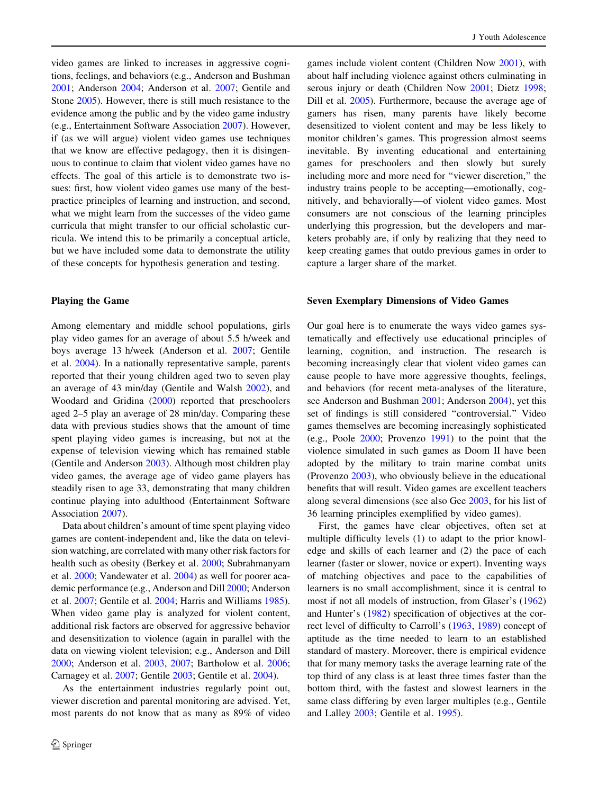video games are linked to increases in aggressive cognitions, feelings, and behaviors (e.g., Anderson and Bushman [2001;](#page-12-0) Anderson [2004](#page-12-0); Anderson et al. [2007](#page-12-0); Gentile and Stone [2005\)](#page-13-0). However, there is still much resistance to the evidence among the public and by the video game industry (e.g., Entertainment Software Association [2007\)](#page-13-0). However, if (as we will argue) violent video games use techniques that we know are effective pedagogy, then it is disingenuous to continue to claim that violent video games have no effects. The goal of this article is to demonstrate two issues: first, how violent video games use many of the bestpractice principles of learning and instruction, and second, what we might learn from the successes of the video game curricula that might transfer to our official scholastic curricula. We intend this to be primarily a conceptual article, but we have included some data to demonstrate the utility of these concepts for hypothesis generation and testing.

#### Playing the Game

Among elementary and middle school populations, girls play video games for an average of about 5.5 h/week and boys average 13 h/week (Anderson et al. [2007;](#page-12-0) Gentile et al. [2004\)](#page-13-0). In a nationally representative sample, parents reported that their young children aged two to seven play an average of 43 min/day (Gentile and Walsh [2002](#page-13-0)), and Woodard and Gridina ([2000\)](#page-14-0) reported that preschoolers aged 2–5 play an average of 28 min/day. Comparing these data with previous studies shows that the amount of time spent playing video games is increasing, but not at the expense of television viewing which has remained stable (Gentile and Anderson [2003](#page-13-0)). Although most children play video games, the average age of video game players has steadily risen to age 33, demonstrating that many children continue playing into adulthood (Entertainment Software Association [2007](#page-13-0)).

Data about children's amount of time spent playing video games are content-independent and, like the data on television watching, are correlated with many other risk factors for health such as obesity (Berkey et al. [2000;](#page-12-0) Subrahmanyam et al. [2000;](#page-14-0) Vandewater et al. [2004](#page-14-0)) as well for poorer academic performance (e.g., Anderson and Dill [2000;](#page-12-0) Anderson et al. [2007;](#page-12-0) Gentile et al. [2004](#page-13-0); Harris and Williams [1985](#page-13-0)). When video game play is analyzed for violent content, additional risk factors are observed for aggressive behavior and desensitization to violence (again in parallel with the data on viewing violent television; e.g., Anderson and Dill [2000;](#page-12-0) Anderson et al. [2003,](#page-12-0) [2007;](#page-12-0) Bartholow et al. [2006](#page-12-0); Carnagey et al. [2007;](#page-12-0) Gentile [2003](#page-13-0); Gentile et al. [2004](#page-13-0)).

As the entertainment industries regularly point out, viewer discretion and parental monitoring are advised. Yet, most parents do not know that as many as 89% of video games include violent content (Children Now [2001](#page-13-0)), with about half including violence against others culminating in serous injury or death (Children Now [2001;](#page-13-0) Dietz [1998](#page-13-0); Dill et al. [2005\)](#page-13-0). Furthermore, because the average age of gamers has risen, many parents have likely become desensitized to violent content and may be less likely to monitor children's games. This progression almost seems inevitable. By inventing educational and entertaining games for preschoolers and then slowly but surely including more and more need for ''viewer discretion,'' the industry trains people to be accepting—emotionally, cognitively, and behaviorally—of violent video games. Most consumers are not conscious of the learning principles underlying this progression, but the developers and marketers probably are, if only by realizing that they need to keep creating games that outdo previous games in order to capture a larger share of the market.

#### Seven Exemplary Dimensions of Video Games

Our goal here is to enumerate the ways video games systematically and effectively use educational principles of learning, cognition, and instruction. The research is becoming increasingly clear that violent video games can cause people to have more aggressive thoughts, feelings, and behaviors (for recent meta-analyses of the literature, see Anderson and Bushman [2001;](#page-12-0) Anderson [2004\)](#page-12-0), yet this set of findings is still considered ''controversial.'' Video games themselves are becoming increasingly sophisticated (e.g., Poole [2000;](#page-14-0) Provenzo [1991\)](#page-14-0) to the point that the violence simulated in such games as Doom II have been adopted by the military to train marine combat units (Provenzo [2003\)](#page-14-0), who obviously believe in the educational benefits that will result. Video games are excellent teachers along several dimensions (see also Gee [2003,](#page-13-0) for his list of 36 learning principles exemplified by video games).

First, the games have clear objectives, often set at multiple difficulty levels (1) to adapt to the prior knowledge and skills of each learner and (2) the pace of each learner (faster or slower, novice or expert). Inventing ways of matching objectives and pace to the capabilities of learners is no small accomplishment, since it is central to most if not all models of instruction, from Glaser's ([1962\)](#page-13-0) and Hunter's ([1982\)](#page-13-0) specification of objectives at the correct level of difficulty to Carroll's [\(1963](#page-12-0), [1989](#page-12-0)) concept of aptitude as the time needed to learn to an established standard of mastery. Moreover, there is empirical evidence that for many memory tasks the average learning rate of the top third of any class is at least three times faster than the bottom third, with the fastest and slowest learners in the same class differing by even larger multiples (e.g., Gentile and Lalley [2003;](#page-13-0) Gentile et al. [1995\)](#page-13-0).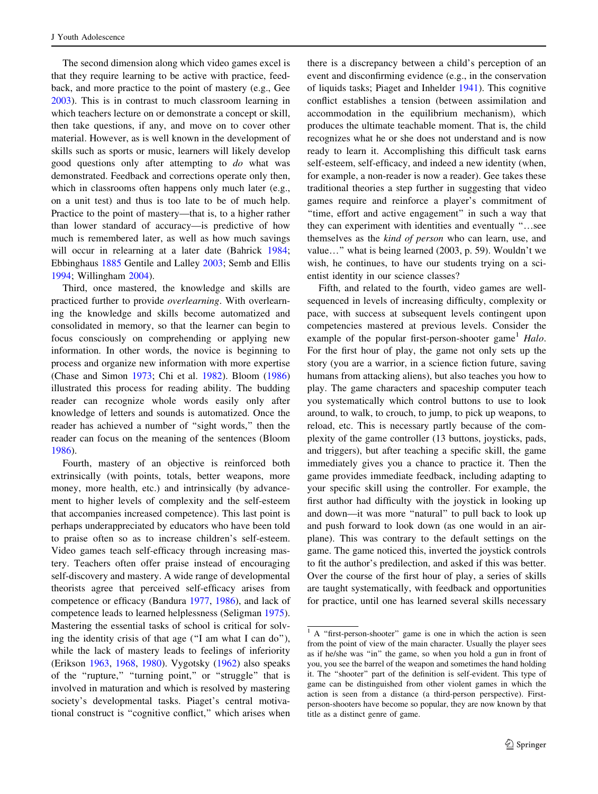The second dimension along which video games excel is that they require learning to be active with practice, feedback, and more practice to the point of mastery (e.g., Gee [2003\)](#page-13-0). This is in contrast to much classroom learning in which teachers lecture on or demonstrate a concept or skill, then take questions, if any, and move on to cover other material. However, as is well known in the development of skills such as sports or music, learners will likely develop good questions only after attempting to do what was demonstrated. Feedback and corrections operate only then, which in classrooms often happens only much later (e.g., on a unit test) and thus is too late to be of much help. Practice to the point of mastery—that is, to a higher rather than lower standard of accuracy—is predictive of how much is remembered later, as well as how much savings will occur in relearning at a later date (Bahrick [1984](#page-12-0); Ebbinghaus [1885](#page-13-0) Gentile and Lalley [2003](#page-13-0); Semb and Ellis [1994;](#page-14-0) Willingham [2004](#page-14-0)).

Third, once mastered, the knowledge and skills are practiced further to provide overlearning. With overlearning the knowledge and skills become automatized and consolidated in memory, so that the learner can begin to focus consciously on comprehending or applying new information. In other words, the novice is beginning to process and organize new information with more expertise (Chase and Simon [1973](#page-13-0); Chi et al. [1982](#page-13-0)). Bloom ([1986\)](#page-12-0) illustrated this process for reading ability. The budding reader can recognize whole words easily only after knowledge of letters and sounds is automatized. Once the reader has achieved a number of ''sight words,'' then the reader can focus on the meaning of the sentences (Bloom [1986\)](#page-12-0).

Fourth, mastery of an objective is reinforced both extrinsically (with points, totals, better weapons, more money, more health, etc.) and intrinsically (by advancement to higher levels of complexity and the self-esteem that accompanies increased competence). This last point is perhaps underappreciated by educators who have been told to praise often so as to increase children's self-esteem. Video games teach self-efficacy through increasing mastery. Teachers often offer praise instead of encouraging self-discovery and mastery. A wide range of developmental theorists agree that perceived self-efficacy arises from competence or efficacy (Bandura [1977,](#page-12-0) [1986](#page-12-0)), and lack of competence leads to learned helplessness (Seligman [1975](#page-14-0)). Mastering the essential tasks of school is critical for solving the identity crisis of that age (''I am what I can do''), while the lack of mastery leads to feelings of inferiority (Erikson [1963,](#page-13-0) [1968,](#page-13-0) [1980\)](#page-13-0). Vygotsky ([1962\)](#page-14-0) also speaks of the "rupture," "turning point," or "struggle" that is involved in maturation and which is resolved by mastering society's developmental tasks. Piaget's central motivational construct is ''cognitive conflict,'' which arises when

there is a discrepancy between a child's perception of an event and disconfirming evidence (e.g., in the conservation of liquids tasks; Piaget and Inhelder [1941\)](#page-14-0). This cognitive conflict establishes a tension (between assimilation and accommodation in the equilibrium mechanism), which produces the ultimate teachable moment. That is, the child recognizes what he or she does not understand and is now ready to learn it. Accomplishing this difficult task earns self-esteem, self-efficacy, and indeed a new identity (when, for example, a non-reader is now a reader). Gee takes these traditional theories a step further in suggesting that video games require and reinforce a player's commitment of "time, effort and active engagement" in such a way that they can experiment with identities and eventually ''…see themselves as the kind of person who can learn, use, and value…'' what is being learned (2003, p. 59). Wouldn't we wish, he continues, to have our students trying on a scientist identity in our science classes?

Fifth, and related to the fourth, video games are wellsequenced in levels of increasing difficulty, complexity or pace, with success at subsequent levels contingent upon competencies mastered at previous levels. Consider the example of the popular first-person-shooter game<sup>1</sup> Halo. For the first hour of play, the game not only sets up the story (you are a warrior, in a science fiction future, saving humans from attacking aliens), but also teaches you how to play. The game characters and spaceship computer teach you systematically which control buttons to use to look around, to walk, to crouch, to jump, to pick up weapons, to reload, etc. This is necessary partly because of the complexity of the game controller (13 buttons, joysticks, pads, and triggers), but after teaching a specific skill, the game immediately gives you a chance to practice it. Then the game provides immediate feedback, including adapting to your specific skill using the controller. For example, the first author had difficulty with the joystick in looking up and down—it was more ''natural'' to pull back to look up and push forward to look down (as one would in an airplane). This was contrary to the default settings on the game. The game noticed this, inverted the joystick controls to fit the author's predilection, and asked if this was better. Over the course of the first hour of play, a series of skills are taught systematically, with feedback and opportunities for practice, until one has learned several skills necessary

<sup>&</sup>lt;sup>1</sup> A "first-person-shooter" game is one in which the action is seen from the point of view of the main character. Usually the player sees as if he/she was ''in'' the game, so when you hold a gun in front of you, you see the barrel of the weapon and sometimes the hand holding it. The ''shooter'' part of the definition is self-evident. This type of game can be distinguished from other violent games in which the action is seen from a distance (a third-person perspective). Firstperson-shooters have become so popular, they are now known by that title as a distinct genre of game.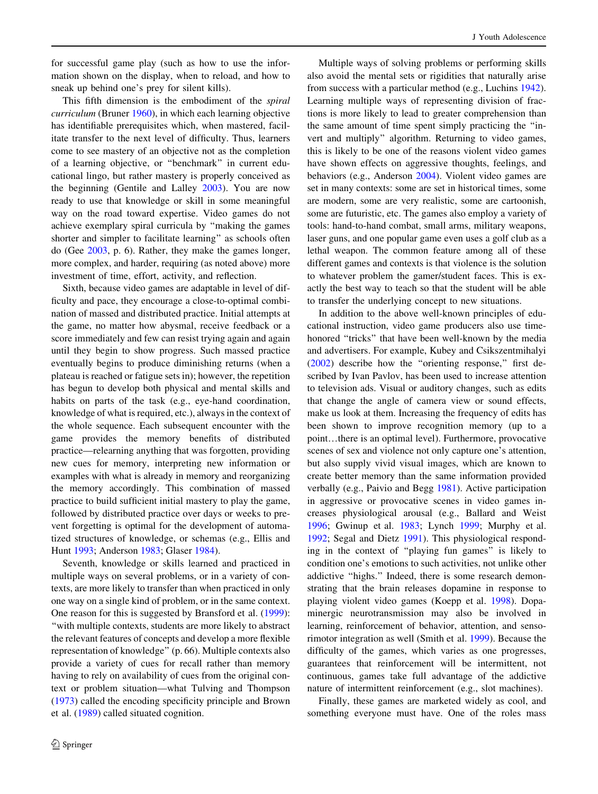for successful game play (such as how to use the information shown on the display, when to reload, and how to sneak up behind one's prey for silent kills).

This fifth dimension is the embodiment of the spiral curriculum (Bruner [1960](#page-12-0)), in which each learning objective has identifiable prerequisites which, when mastered, facilitate transfer to the next level of difficulty. Thus, learners come to see mastery of an objective not as the completion of a learning objective, or ''benchmark'' in current educational lingo, but rather mastery is properly conceived as the beginning (Gentile and Lalley [2003\)](#page-13-0). You are now ready to use that knowledge or skill in some meaningful way on the road toward expertise. Video games do not achieve exemplary spiral curricula by ''making the games shorter and simpler to facilitate learning'' as schools often do (Gee [2003](#page-13-0), p. 6). Rather, they make the games longer, more complex, and harder, requiring (as noted above) more investment of time, effort, activity, and reflection.

Sixth, because video games are adaptable in level of difficulty and pace, they encourage a close-to-optimal combination of massed and distributed practice. Initial attempts at the game, no matter how abysmal, receive feedback or a score immediately and few can resist trying again and again until they begin to show progress. Such massed practice eventually begins to produce diminishing returns (when a plateau is reached or fatigue sets in); however, the repetition has begun to develop both physical and mental skills and habits on parts of the task (e.g., eye-hand coordination, knowledge of what is required, etc.), always in the context of the whole sequence. Each subsequent encounter with the game provides the memory benefits of distributed practice—relearning anything that was forgotten, providing new cues for memory, interpreting new information or examples with what is already in memory and reorganizing the memory accordingly. This combination of massed practice to build sufficient initial mastery to play the game, followed by distributed practice over days or weeks to prevent forgetting is optimal for the development of automatized structures of knowledge, or schemas (e.g., Ellis and Hunt [1993](#page-13-0); Anderson [1983;](#page-12-0) Glaser [1984\)](#page-13-0).

Seventh, knowledge or skills learned and practiced in multiple ways on several problems, or in a variety of contexts, are more likely to transfer than when practiced in only one way on a single kind of problem, or in the same context. One reason for this is suggested by Bransford et al. [\(1999](#page-12-0)): ''with multiple contexts, students are more likely to abstract the relevant features of concepts and develop a more flexible representation of knowledge'' (p. 66). Multiple contexts also provide a variety of cues for recall rather than memory having to rely on availability of cues from the original context or problem situation—what Tulving and Thompson [\(1973](#page-14-0)) called the encoding specificity principle and Brown et al. [\(1989](#page-12-0)) called situated cognition.

Multiple ways of solving problems or performing skills also avoid the mental sets or rigidities that naturally arise from success with a particular method (e.g., Luchins [1942](#page-13-0)). Learning multiple ways of representing division of fractions is more likely to lead to greater comprehension than the same amount of time spent simply practicing the ''invert and multiply'' algorithm. Returning to video games, this is likely to be one of the reasons violent video games have shown effects on aggressive thoughts, feelings, and behaviors (e.g., Anderson [2004](#page-12-0)). Violent video games are set in many contexts: some are set in historical times, some are modern, some are very realistic, some are cartoonish, some are futuristic, etc. The games also employ a variety of tools: hand-to-hand combat, small arms, military weapons, laser guns, and one popular game even uses a golf club as a lethal weapon. The common feature among all of these different games and contexts is that violence is the solution to whatever problem the gamer/student faces. This is exactly the best way to teach so that the student will be able to transfer the underlying concept to new situations.

In addition to the above well-known principles of educational instruction, video game producers also use timehonored ''tricks'' that have been well-known by the media and advertisers. For example, Kubey and Csikszentmihalyi [\(2002](#page-13-0)) describe how the ''orienting response,'' first described by Ivan Pavlov, has been used to increase attention to television ads. Visual or auditory changes, such as edits that change the angle of camera view or sound effects, make us look at them. Increasing the frequency of edits has been shown to improve recognition memory (up to a point…there is an optimal level). Furthermore, provocative scenes of sex and violence not only capture one's attention, but also supply vivid visual images, which are known to create better memory than the same information provided verbally (e.g., Paivio and Begg [1981](#page-13-0)). Active participation in aggressive or provocative scenes in video games increases physiological arousal (e.g., Ballard and Weist [1996](#page-12-0); Gwinup et al. [1983](#page-13-0); Lynch [1999;](#page-13-0) Murphy et al. [1992](#page-13-0); Segal and Dietz [1991](#page-14-0)). This physiological responding in the context of ''playing fun games'' is likely to condition one's emotions to such activities, not unlike other addictive ''highs.'' Indeed, there is some research demonstrating that the brain releases dopamine in response to playing violent video games (Koepp et al. [1998\)](#page-13-0). Dopaminergic neurotransmission may also be involved in learning, reinforcement of behavior, attention, and sensorimotor integration as well (Smith et al. [1999\)](#page-14-0). Because the difficulty of the games, which varies as one progresses, guarantees that reinforcement will be intermittent, not continuous, games take full advantage of the addictive nature of intermittent reinforcement (e.g., slot machines).

Finally, these games are marketed widely as cool, and something everyone must have. One of the roles mass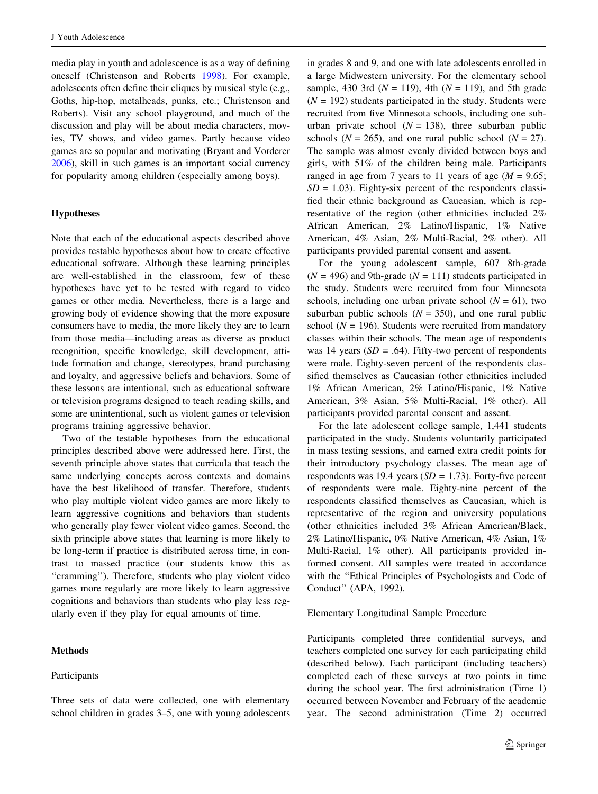media play in youth and adolescence is as a way of defining oneself (Christenson and Roberts [1998\)](#page-13-0). For example, adolescents often define their cliques by musical style (e.g., Goths, hip-hop, metalheads, punks, etc.; Christenson and Roberts). Visit any school playground, and much of the discussion and play will be about media characters, movies, TV shows, and video games. Partly because video games are so popular and motivating (Bryant and Vorderer [2006\)](#page-12-0), skill in such games is an important social currency for popularity among children (especially among boys).

#### Hypotheses

Note that each of the educational aspects described above provides testable hypotheses about how to create effective educational software. Although these learning principles are well-established in the classroom, few of these hypotheses have yet to be tested with regard to video games or other media. Nevertheless, there is a large and growing body of evidence showing that the more exposure consumers have to media, the more likely they are to learn from those media—including areas as diverse as product recognition, specific knowledge, skill development, attitude formation and change, stereotypes, brand purchasing and loyalty, and aggressive beliefs and behaviors. Some of these lessons are intentional, such as educational software or television programs designed to teach reading skills, and some are unintentional, such as violent games or television programs training aggressive behavior.

Two of the testable hypotheses from the educational principles described above were addressed here. First, the seventh principle above states that curricula that teach the same underlying concepts across contexts and domains have the best likelihood of transfer. Therefore, students who play multiple violent video games are more likely to learn aggressive cognitions and behaviors than students who generally play fewer violent video games. Second, the sixth principle above states that learning is more likely to be long-term if practice is distributed across time, in contrast to massed practice (our students know this as "cramming"). Therefore, students who play violent video games more regularly are more likely to learn aggressive cognitions and behaviors than students who play less regularly even if they play for equal amounts of time.

## Methods

## Participants

Three sets of data were collected, one with elementary school children in grades 3–5, one with young adolescents in grades 8 and 9, and one with late adolescents enrolled in a large Midwestern university. For the elementary school sample, 430 3rd ( $N = 119$ ), 4th ( $N = 119$ ), and 5th grade  $(N = 192)$  students participated in the study. Students were recruited from five Minnesota schools, including one suburban private school  $(N = 138)$ , three suburban public schools ( $N = 265$ ), and one rural public school ( $N = 27$ ). The sample was almost evenly divided between boys and girls, with 51% of the children being male. Participants ranged in age from 7 years to 11 years of age  $(M = 9.65)$ ;  $SD = 1.03$ ). Eighty-six percent of the respondents classified their ethnic background as Caucasian, which is representative of the region (other ethnicities included 2% African American, 2% Latino/Hispanic, 1% Native American, 4% Asian, 2% Multi-Racial, 2% other). All participants provided parental consent and assent.

For the young adolescent sample, 607 8th-grade  $(N = 496)$  and 9th-grade  $(N = 111)$  students participated in the study. Students were recruited from four Minnesota schools, including one urban private school ( $N = 61$ ), two suburban public schools  $(N = 350)$ , and one rural public school ( $N = 196$ ). Students were recruited from mandatory classes within their schools. The mean age of respondents was 14 years ( $SD = .64$ ). Fifty-two percent of respondents were male. Eighty-seven percent of the respondents classified themselves as Caucasian (other ethnicities included 1% African American, 2% Latino/Hispanic, 1% Native American, 3% Asian, 5% Multi-Racial, 1% other). All participants provided parental consent and assent.

For the late adolescent college sample, 1,441 students participated in the study. Students voluntarily participated in mass testing sessions, and earned extra credit points for their introductory psychology classes. The mean age of respondents was 19.4 years  $(SD = 1.73)$ . Forty-five percent of respondents were male. Eighty-nine percent of the respondents classified themselves as Caucasian, which is representative of the region and university populations (other ethnicities included 3% African American/Black, 2% Latino/Hispanic, 0% Native American, 4% Asian, 1% Multi-Racial, 1% other). All participants provided informed consent. All samples were treated in accordance with the "Ethical Principles of Psychologists and Code of Conduct'' (APA, 1992).

#### Elementary Longitudinal Sample Procedure

Participants completed three confidential surveys, and teachers completed one survey for each participating child (described below). Each participant (including teachers) completed each of these surveys at two points in time during the school year. The first administration (Time 1) occurred between November and February of the academic year. The second administration (Time 2) occurred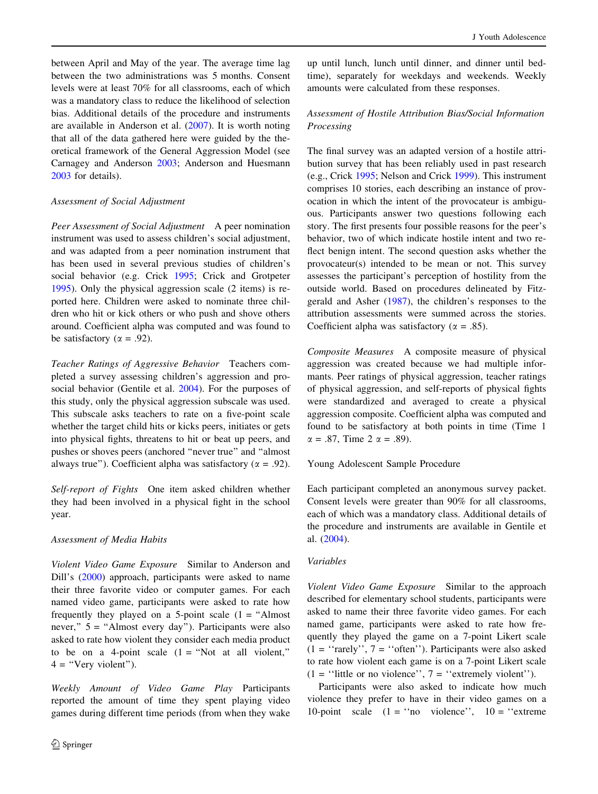between April and May of the year. The average time lag between the two administrations was 5 months. Consent levels were at least 70% for all classrooms, each of which was a mandatory class to reduce the likelihood of selection bias. Additional details of the procedure and instruments are available in Anderson et al. ([2007](#page-12-0)). It is worth noting that all of the data gathered here were guided by the theoretical framework of the General Aggression Model (see Carnagey and Anderson [2003](#page-12-0); Anderson and Huesmann [2003](#page-12-0) for details).

#### Assessment of Social Adjustment

Peer Assessment of Social Adjustment A peer nomination instrument was used to assess children's social adjustment, and was adapted from a peer nomination instrument that has been used in several previous studies of children's social behavior (e.g. Crick [1995](#page-13-0); Crick and Grotpeter [1995\)](#page-13-0). Only the physical aggression scale (2 items) is reported here. Children were asked to nominate three children who hit or kick others or who push and shove others around. Coefficient alpha was computed and was found to be satisfactory ( $\alpha = .92$ ).

Teacher Ratings of Aggressive Behavior Teachers completed a survey assessing children's aggression and prosocial behavior (Gentile et al. [2004](#page-13-0)). For the purposes of this study, only the physical aggression subscale was used. This subscale asks teachers to rate on a five-point scale whether the target child hits or kicks peers, initiates or gets into physical fights, threatens to hit or beat up peers, and pushes or shoves peers (anchored ''never true'' and ''almost always true"). Coefficient alpha was satisfactory ( $\alpha = .92$ ).

Self-report of Fights One item asked children whether they had been involved in a physical fight in the school year.

## Assessment of Media Habits

Violent Video Game Exposure Similar to Anderson and Dill's ([2000\)](#page-12-0) approach, participants were asked to name their three favorite video or computer games. For each named video game, participants were asked to rate how frequently they played on a 5-point scale  $(1 = "Almost$ never,"  $5 =$  "Almost every day"). Participants were also asked to rate how violent they consider each media product to be on a 4-point scale  $(1 = "Not at all violent,"$  $4 =$  "Very violent").

Weekly Amount of Video Game Play Participants reported the amount of time they spent playing video games during different time periods (from when they wake up until lunch, lunch until dinner, and dinner until bedtime), separately for weekdays and weekends. Weekly amounts were calculated from these responses.

## Assessment of Hostile Attribution Bias/Social Information Processing

The final survey was an adapted version of a hostile attribution survey that has been reliably used in past research (e.g., Crick [1995](#page-13-0); Nelson and Crick [1999](#page-13-0)). This instrument comprises 10 stories, each describing an instance of provocation in which the intent of the provocateur is ambiguous. Participants answer two questions following each story. The first presents four possible reasons for the peer's behavior, two of which indicate hostile intent and two reflect benign intent. The second question asks whether the provocateur(s) intended to be mean or not. This survey assesses the participant's perception of hostility from the outside world. Based on procedures delineated by Fitzgerald and Asher ([1987\)](#page-13-0), the children's responses to the attribution assessments were summed across the stories. Coefficient alpha was satisfactory ( $\alpha = .85$ ).

Composite Measures A composite measure of physical aggression was created because we had multiple informants. Peer ratings of physical aggression, teacher ratings of physical aggression, and self-reports of physical fights were standardized and averaged to create a physical aggression composite. Coefficient alpha was computed and found to be satisfactory at both points in time (Time 1  $\alpha = .87$ , Time 2  $\alpha = .89$ ).

Young Adolescent Sample Procedure

Each participant completed an anonymous survey packet. Consent levels were greater than 90% for all classrooms, each of which was a mandatory class. Additional details of the procedure and instruments are available in Gentile et al. ([2004\)](#page-13-0).

#### Variables

Violent Video Game Exposure Similar to the approach described for elementary school students, participants were asked to name their three favorite video games. For each named game, participants were asked to rate how frequently they played the game on a 7-point Likert scale  $(1 = "rarely", 7 = "often").$  Participants were also asked to rate how violent each game is on a 7-point Likert scale  $(1 = "little or no violence", 7 = "extremely violent").$ 

Participants were also asked to indicate how much violence they prefer to have in their video games on a 10-point scale  $(1 = "no$  violence",  $10 = "extreme$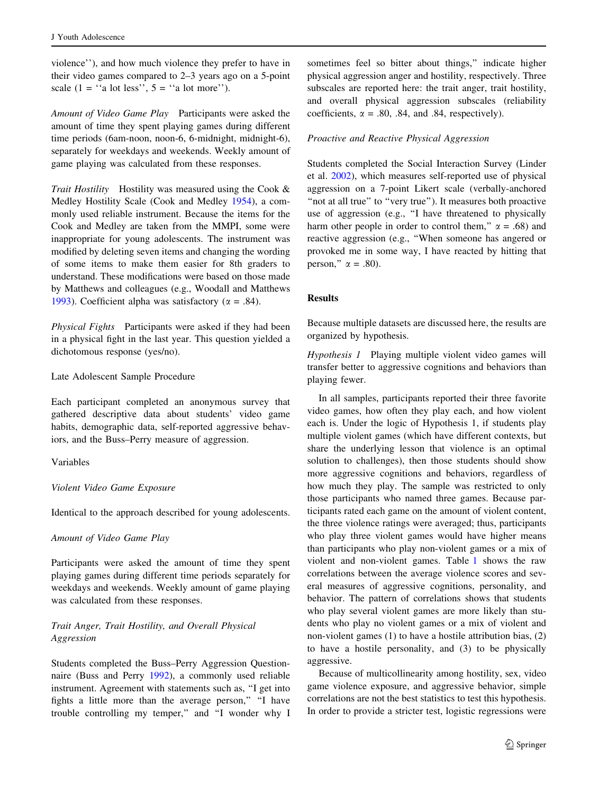violence''), and how much violence they prefer to have in their video games compared to 2–3 years ago on a 5-point scale  $(1 = "a lot less", 5 = "a lot more")$ .

Amount of Video Game Play Participants were asked the amount of time they spent playing games during different time periods (6am-noon, noon-6, 6-midnight, midnight-6), separately for weekdays and weekends. Weekly amount of game playing was calculated from these responses.

Trait Hostility Hostility was measured using the Cook & Medley Hostility Scale (Cook and Medley [1954\)](#page-13-0), a commonly used reliable instrument. Because the items for the Cook and Medley are taken from the MMPI, some were inappropriate for young adolescents. The instrument was modified by deleting seven items and changing the wording of some items to make them easier for 8th graders to understand. These modifications were based on those made by Matthews and colleagues (e.g., Woodall and Matthews [1993\)](#page-14-0). Coefficient alpha was satisfactory ( $\alpha = .84$ ).

Physical Fights Participants were asked if they had been in a physical fight in the last year. This question yielded a dichotomous response (yes/no).

## Late Adolescent Sample Procedure

Each participant completed an anonymous survey that gathered descriptive data about students' video game habits, demographic data, self-reported aggressive behaviors, and the Buss–Perry measure of aggression.

## Variables

## Violent Video Game Exposure

Identical to the approach described for young adolescents.

#### Amount of Video Game Play

Participants were asked the amount of time they spent playing games during different time periods separately for weekdays and weekends. Weekly amount of game playing was calculated from these responses.

## Trait Anger, Trait Hostility, and Overall Physical Aggression

Students completed the Buss–Perry Aggression Questionnaire (Buss and Perry [1992\)](#page-12-0), a commonly used reliable instrument. Agreement with statements such as, ''I get into fights a little more than the average person," "I have trouble controlling my temper,'' and ''I wonder why I sometimes feel so bitter about things," indicate higher physical aggression anger and hostility, respectively. Three subscales are reported here: the trait anger, trait hostility, and overall physical aggression subscales (reliability coefficients,  $\alpha = .80, .84,$  and .84, respectively).

#### Proactive and Reactive Physical Aggression

Students completed the Social Interaction Survey (Linder et al. [2002\)](#page-13-0), which measures self-reported use of physical aggression on a 7-point Likert scale (verbally-anchored "not at all true" to "very true"). It measures both proactive use of aggression (e.g., "I have threatened to physically harm other people in order to control them,"  $\alpha = .68$ ) and reactive aggression (e.g., ''When someone has angered or provoked me in some way, I have reacted by hitting that person,"  $\alpha = .80$ ).

## Results

Because multiple datasets are discussed here, the results are organized by hypothesis.

Hypothesis 1 Playing multiple violent video games will transfer better to aggressive cognitions and behaviors than playing fewer.

In all samples, participants reported their three favorite video games, how often they play each, and how violent each is. Under the logic of Hypothesis 1, if students play multiple violent games (which have different contexts, but share the underlying lesson that violence is an optimal solution to challenges), then those students should show more aggressive cognitions and behaviors, regardless of how much they play. The sample was restricted to only those participants who named three games. Because participants rated each game on the amount of violent content, the three violence ratings were averaged; thus, participants who play three violent games would have higher means than participants who play non-violent games or a mix of violent and non-violent games. Table [1](#page-7-0) shows the raw correlations between the average violence scores and several measures of aggressive cognitions, personality, and behavior. The pattern of correlations shows that students who play several violent games are more likely than students who play no violent games or a mix of violent and non-violent games (1) to have a hostile attribution bias, (2) to have a hostile personality, and (3) to be physically aggressive.

Because of multicollinearity among hostility, sex, video game violence exposure, and aggressive behavior, simple correlations are not the best statistics to test this hypothesis. In order to provide a stricter test, logistic regressions were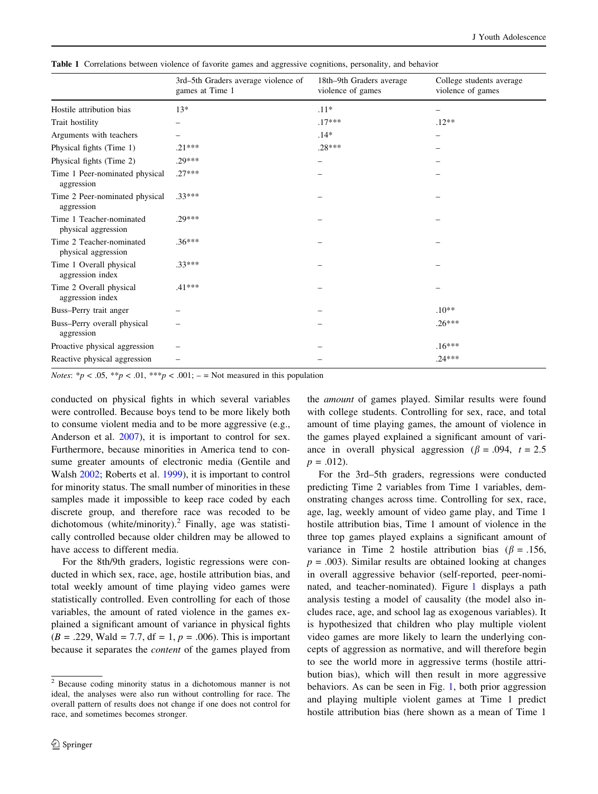|                                                 | 3rd–5th Graders average violence of<br>games at Time 1 | 18th-9th Graders average<br>violence of games | College students average<br>violence of games |
|-------------------------------------------------|--------------------------------------------------------|-----------------------------------------------|-----------------------------------------------|
| Hostile attribution bias                        | $13*$                                                  | $.11*$                                        |                                               |
| Trait hostility                                 |                                                        | $.17***$                                      | $.12**$                                       |
| Arguments with teachers                         |                                                        | $.14*$                                        | -                                             |
| Physical fights (Time 1)                        | $.21***$                                               | $.28***$                                      |                                               |
| Physical fights (Time 2)                        | $.29***$                                               |                                               |                                               |
| Time 1 Peer-nominated physical<br>aggression    | $.27***$                                               |                                               |                                               |
| Time 2 Peer-nominated physical<br>aggression    | $.33***$                                               |                                               |                                               |
| Time 1 Teacher-nominated<br>physical aggression | 29***                                                  |                                               |                                               |
| Time 2 Teacher-nominated<br>physical aggression | $.36***$                                               |                                               |                                               |
| Time 1 Overall physical<br>aggression index     | 33***                                                  |                                               |                                               |
| Time 2 Overall physical<br>aggression index     | $.41***$                                               |                                               |                                               |
| Buss-Perry trait anger                          |                                                        |                                               | $.10**$                                       |
| Buss-Perry overall physical<br>aggression       |                                                        |                                               | $.26***$                                      |
| Proactive physical aggression                   |                                                        |                                               | $.16***$                                      |
| Reactive physical aggression                    |                                                        |                                               | $.24***$                                      |

<span id="page-7-0"></span>Table 1 Correlations between violence of favorite games and aggressive cognitions, personality, and behavior

*Notes:*  $* p < .05$ ,  $* p < .01$ ,  $* * p < .001$ ;  $- =$  Not measured in this population

conducted on physical fights in which several variables were controlled. Because boys tend to be more likely both to consume violent media and to be more aggressive (e.g., Anderson et al. [2007\)](#page-12-0), it is important to control for sex. Furthermore, because minorities in America tend to consume greater amounts of electronic media (Gentile and Walsh [2002](#page-13-0); Roberts et al. [1999\)](#page-14-0), it is important to control for minority status. The small number of minorities in these samples made it impossible to keep race coded by each discrete group, and therefore race was recoded to be dichotomous (white/minority).<sup>2</sup> Finally, age was statistically controlled because older children may be allowed to have access to different media.

For the 8th/9th graders, logistic regressions were conducted in which sex, race, age, hostile attribution bias, and total weekly amount of time playing video games were statistically controlled. Even controlling for each of those variables, the amount of rated violence in the games explained a significant amount of variance in physical fights  $(B = .229, Wald = 7.7, df = 1, p = .006)$ . This is important because it separates the content of the games played from the amount of games played. Similar results were found with college students. Controlling for sex, race, and total amount of time playing games, the amount of violence in the games played explained a significant amount of variance in overall physical aggression ( $\beta$  = .094, t = 2.5  $p = .012$ ).

For the 3rd–5th graders, regressions were conducted predicting Time 2 variables from Time 1 variables, demonstrating changes across time. Controlling for sex, race, age, lag, weekly amount of video game play, and Time 1 hostile attribution bias, Time 1 amount of violence in the three top games played explains a significant amount of variance in Time 2 hostile attribution bias ( $\beta$  = .156,  $p = .003$ ). Similar results are obtained looking at changes in overall aggressive behavior (self-reported, peer-nominated, and teacher-nominated). Figure [1](#page-8-0) displays a path analysis testing a model of causality (the model also includes race, age, and school lag as exogenous variables). It is hypothesized that children who play multiple violent video games are more likely to learn the underlying concepts of aggression as normative, and will therefore begin to see the world more in aggressive terms (hostile attribution bias), which will then result in more aggressive behaviors. As can be seen in Fig. [1,](#page-8-0) both prior aggression and playing multiple violent games at Time 1 predict hostile attribution bias (here shown as a mean of Time 1

 $\frac{2}{3}$  Because coding minority status in a dichotomous manner is not ideal, the analyses were also run without controlling for race. The overall pattern of results does not change if one does not control for race, and sometimes becomes stronger.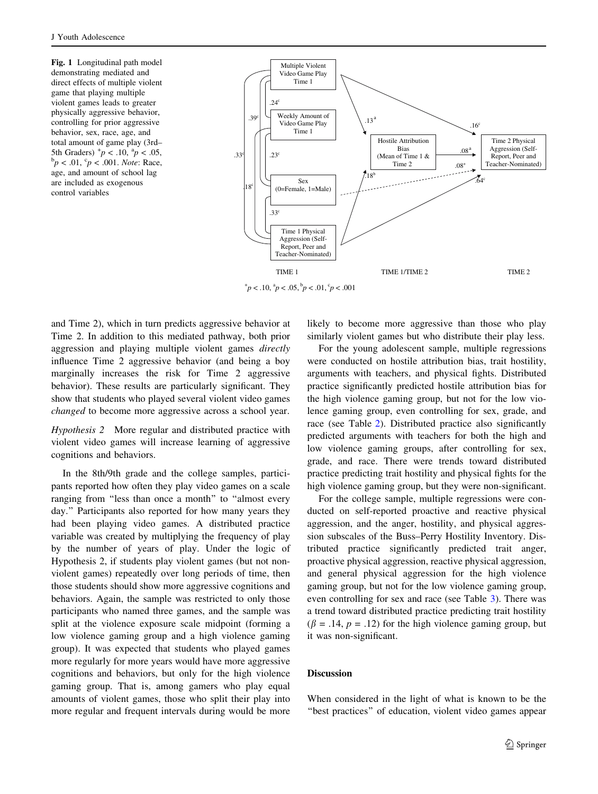<span id="page-8-0"></span>Fig. 1 Longitudinal path model demonstrating mediated and direct effects of multiple violent game that playing multiple violent games leads to greater physically aggressive behavior, controlling for prior aggressive behavior, sex, race, age, and total amount of game play (3rd– 5th Graders)  $^{\circ}p < .10$ ,  $^{\circ}p < .05$ ,<br> $^{\circ}p < .01$ ,  $^{\circ}p < .001$ , Note: Pace  $p < .01, \,^{\rm c}p < .001$ . Note: Race, age, and amount of school lag are included as exogenous control variables



 $^{+}p$  < .10,  $^{a}p$  < .05,  $^{b}p$  < .01,  $^{c}p$  < .001

and Time 2), which in turn predicts aggressive behavior at Time 2. In addition to this mediated pathway, both prior aggression and playing multiple violent games directly influence Time 2 aggressive behavior (and being a boy marginally increases the risk for Time 2 aggressive behavior). These results are particularly significant. They show that students who played several violent video games changed to become more aggressive across a school year.

Hypothesis 2 More regular and distributed practice with violent video games will increase learning of aggressive cognitions and behaviors.

In the 8th/9th grade and the college samples, participants reported how often they play video games on a scale ranging from "less than once a month" to "almost every day.'' Participants also reported for how many years they had been playing video games. A distributed practice variable was created by multiplying the frequency of play by the number of years of play. Under the logic of Hypothesis 2, if students play violent games (but not nonviolent games) repeatedly over long periods of time, then those students should show more aggressive cognitions and behaviors. Again, the sample was restricted to only those participants who named three games, and the sample was split at the violence exposure scale midpoint (forming a low violence gaming group and a high violence gaming group). It was expected that students who played games more regularly for more years would have more aggressive cognitions and behaviors, but only for the high violence gaming group. That is, among gamers who play equal amounts of violent games, those who split their play into more regular and frequent intervals during would be more likely to become more aggressive than those who play similarly violent games but who distribute their play less.

For the young adolescent sample, multiple regressions were conducted on hostile attribution bias, trait hostility, arguments with teachers, and physical fights. Distributed practice significantly predicted hostile attribution bias for the high violence gaming group, but not for the low violence gaming group, even controlling for sex, grade, and race (see Table [2\)](#page-9-0). Distributed practice also significantly predicted arguments with teachers for both the high and low violence gaming groups, after controlling for sex, grade, and race. There were trends toward distributed practice predicting trait hostility and physical fights for the high violence gaming group, but they were non-significant.

For the college sample, multiple regressions were conducted on self-reported proactive and reactive physical aggression, and the anger, hostility, and physical aggression subscales of the Buss–Perry Hostility Inventory. Distributed practice significantly predicted trait anger, proactive physical aggression, reactive physical aggression, and general physical aggression for the high violence gaming group, but not for the low violence gaming group, even controlling for sex and race (see Table [3\)](#page-9-0). There was a trend toward distributed practice predicting trait hostility  $(\beta = .14, p = .12)$  for the high violence gaming group, but it was non-significant.

## Discussion

When considered in the light of what is known to be the ''best practices'' of education, violent video games appear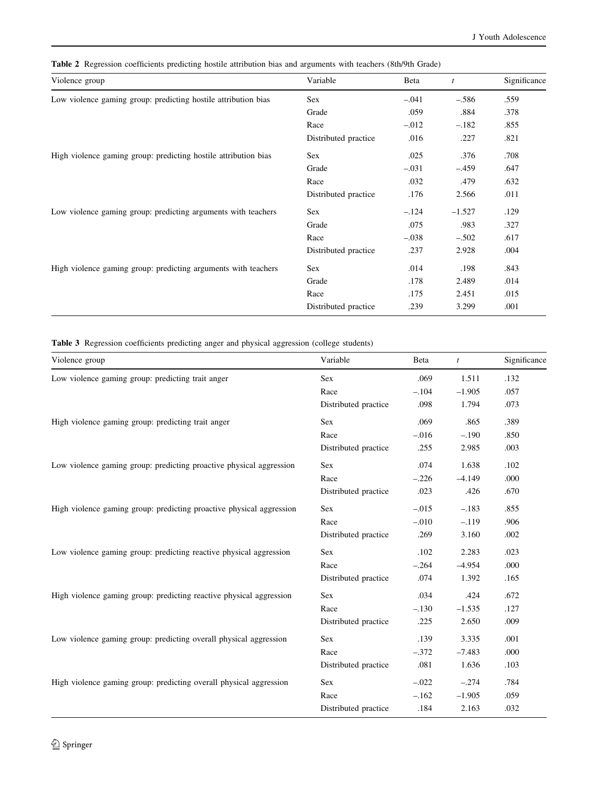| Violence group                                                  | Variable             | Beta                                                                                                   |          | Significance |
|-----------------------------------------------------------------|----------------------|--------------------------------------------------------------------------------------------------------|----------|--------------|
| Low violence gaming group: predicting hostile attribution bias  | <b>Sex</b>           | $-.041$                                                                                                | $-.586$  | .559         |
|                                                                 | Grade                | .059                                                                                                   | .884     | .378         |
|                                                                 | Race                 | $-.012$                                                                                                | $-.182$  | .855         |
|                                                                 | Distributed practice | .016                                                                                                   | .227     | .821         |
| High violence gaming group: predicting hostile attribution bias | <b>Sex</b>           | .025                                                                                                   | .376     | .708         |
|                                                                 | Grade                | $-.031$                                                                                                | $-.459$  | .647         |
|                                                                 | Race                 | .032                                                                                                   | .479     | .632         |
|                                                                 | Distributed practice | .176                                                                                                   | 2.566    | .011         |
| Low violence gaming group: predicting arguments with teachers   | Sex                  | $-.124$                                                                                                | $-1.527$ | .129         |
|                                                                 | Grade                | .075                                                                                                   | .983     | .327         |
|                                                                 | Race                 | $-.038$<br>$-.502$<br>.237<br>2.928<br>.014<br>.198<br>.178<br>2.489<br>2.451<br>.175<br>.239<br>3.299 | .617     |              |
|                                                                 | Distributed practice |                                                                                                        | .004     |              |
| High violence gaming group: predicting arguments with teachers  | <b>Sex</b>           |                                                                                                        |          | .843         |
|                                                                 | Grade                |                                                                                                        |          | .014         |
|                                                                 | Race                 |                                                                                                        |          | .015         |
|                                                                 | Distributed practice |                                                                                                        |          | .001         |

<span id="page-9-0"></span>Table 2 Regression coefficients predicting hostile attribution bias and arguments with teachers (8th/9th Grade)

Table 3 Regression coefficients predicting anger and physical aggression (college students)

| Violence group                                                       | Variable                     | Beta    | $\boldsymbol{t}$ | Significance |
|----------------------------------------------------------------------|------------------------------|---------|------------------|--------------|
| Low violence gaming group: predicting trait anger                    | <b>Sex</b>                   | .069    | 1.511            | .132         |
|                                                                      | Race                         | $-.104$ | $-1.905$         | .057         |
|                                                                      | Distributed practice         | .098    | 1.794            | .073         |
| High violence gaming group: predicting trait anger                   | <b>Sex</b>                   | .069    | .865             | .389         |
|                                                                      | Race                         | $-.016$ | $-.190$          | .850         |
|                                                                      | Distributed practice         | .255    | 2.985            | .003         |
| Low violence gaming group: predicting proactive physical aggression  | <b>Sex</b>                   | .074    | 1.638            | .102         |
|                                                                      | Race                         | $-.226$ | $-4.149$         | .000         |
|                                                                      | Distributed practice         | .023    | .426             | .670         |
| High violence gaming group: predicting proactive physical aggression | <b>Sex</b>                   | $-.015$ | $-.183$          | .855         |
|                                                                      | Race                         | $-.010$ | $-.119$          | .906         |
|                                                                      | Distributed practice         | .269    | 3.160            | .002         |
| Low violence gaming group: predicting reactive physical aggression   | <b>Sex</b>                   | .102    | 2.283            | .023         |
|                                                                      | Race                         | $-.264$ | $-4.954$         | .000         |
|                                                                      | Distributed practice         | .074    | 1.392            | .165         |
| High violence gaming group: predicting reactive physical aggression  | <b>Sex</b>                   | .034    | .424             | .672         |
|                                                                      | Race                         | $-.130$ | $-1.535$         | .127         |
|                                                                      | Distributed practice<br>.225 | 2.650   | .009             |              |
| Low violence gaming group: predicting overall physical aggression    | <b>Sex</b>                   | .139    | 3.335            | .001         |
|                                                                      | Race                         | $-.372$ | $-7.483$         | .000         |
|                                                                      | Distributed practice         | .081    | 1.636            | .103         |
| High violence gaming group: predicting overall physical aggression   | <b>Sex</b>                   | $-.022$ | $-.274$          | .784         |
|                                                                      | Race                         | $-.162$ | $-1.905$         | .059         |
|                                                                      | Distributed practice         | .184    | 2.163            | .032         |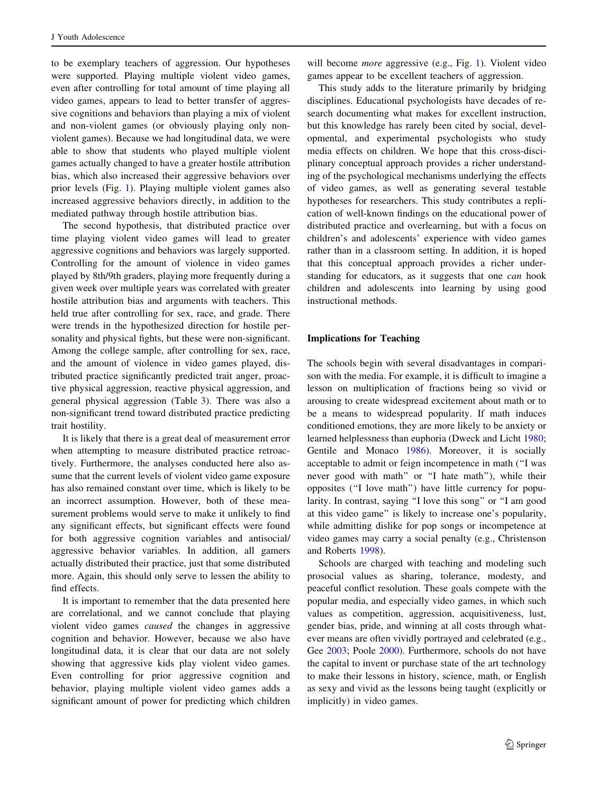to be exemplary teachers of aggression. Our hypotheses were supported. Playing multiple violent video games, even after controlling for total amount of time playing all video games, appears to lead to better transfer of aggressive cognitions and behaviors than playing a mix of violent and non-violent games (or obviously playing only nonviolent games). Because we had longitudinal data, we were able to show that students who played multiple violent games actually changed to have a greater hostile attribution bias, which also increased their aggressive behaviors over prior levels (Fig. [1](#page-8-0)). Playing multiple violent games also increased aggressive behaviors directly, in addition to the mediated pathway through hostile attribution bias.

The second hypothesis, that distributed practice over time playing violent video games will lead to greater aggressive cognitions and behaviors was largely supported. Controlling for the amount of violence in video games played by 8th/9th graders, playing more frequently during a given week over multiple years was correlated with greater hostile attribution bias and arguments with teachers. This held true after controlling for sex, race, and grade. There were trends in the hypothesized direction for hostile personality and physical fights, but these were non-significant. Among the college sample, after controlling for sex, race, and the amount of violence in video games played, distributed practice significantly predicted trait anger, proactive physical aggression, reactive physical aggression, and general physical aggression (Table [3](#page-9-0)). There was also a non-significant trend toward distributed practice predicting trait hostility.

It is likely that there is a great deal of measurement error when attempting to measure distributed practice retroactively. Furthermore, the analyses conducted here also assume that the current levels of violent video game exposure has also remained constant over time, which is likely to be an incorrect assumption. However, both of these measurement problems would serve to make it unlikely to find any significant effects, but significant effects were found for both aggressive cognition variables and antisocial/ aggressive behavior variables. In addition, all gamers actually distributed their practice, just that some distributed more. Again, this should only serve to lessen the ability to find effects.

It is important to remember that the data presented here are correlational, and we cannot conclude that playing violent video games caused the changes in aggressive cognition and behavior. However, because we also have longitudinal data, it is clear that our data are not solely showing that aggressive kids play violent video games. Even controlling for prior aggressive cognition and behavior, playing multiple violent video games adds a significant amount of power for predicting which children

will become *more* aggressive (e.g., Fig. [1\)](#page-8-0). Violent video games appear to be excellent teachers of aggression.

This study adds to the literature primarily by bridging disciplines. Educational psychologists have decades of research documenting what makes for excellent instruction, but this knowledge has rarely been cited by social, developmental, and experimental psychologists who study media effects on children. We hope that this cross-disciplinary conceptual approach provides a richer understanding of the psychological mechanisms underlying the effects of video games, as well as generating several testable hypotheses for researchers. This study contributes a replication of well-known findings on the educational power of distributed practice and overlearning, but with a focus on children's and adolescents' experience with video games rather than in a classroom setting. In addition, it is hoped that this conceptual approach provides a richer understanding for educators, as it suggests that one *can* hook children and adolescents into learning by using good instructional methods.

## Implications for Teaching

The schools begin with several disadvantages in comparison with the media. For example, it is difficult to imagine a lesson on multiplication of fractions being so vivid or arousing to create widespread excitement about math or to be a means to widespread popularity. If math induces conditioned emotions, they are more likely to be anxiety or learned helplessness than euphoria (Dweck and Licht [1980](#page-13-0); Gentile and Monaco [1986](#page-13-0)). Moreover, it is socially acceptable to admit or feign incompetence in math (''I was never good with math'' or ''I hate math''), while their opposites (''I love math'') have little currency for popularity. In contrast, saying ''I love this song'' or ''I am good at this video game'' is likely to increase one's popularity, while admitting dislike for pop songs or incompetence at video games may carry a social penalty (e.g., Christenson and Roberts [1998](#page-13-0)).

Schools are charged with teaching and modeling such prosocial values as sharing, tolerance, modesty, and peaceful conflict resolution. These goals compete with the popular media, and especially video games, in which such values as competition, aggression, acquisitiveness, lust, gender bias, pride, and winning at all costs through whatever means are often vividly portrayed and celebrated (e.g., Gee [2003;](#page-13-0) Poole [2000\)](#page-14-0). Furthermore, schools do not have the capital to invent or purchase state of the art technology to make their lessons in history, science, math, or English as sexy and vivid as the lessons being taught (explicitly or implicitly) in video games.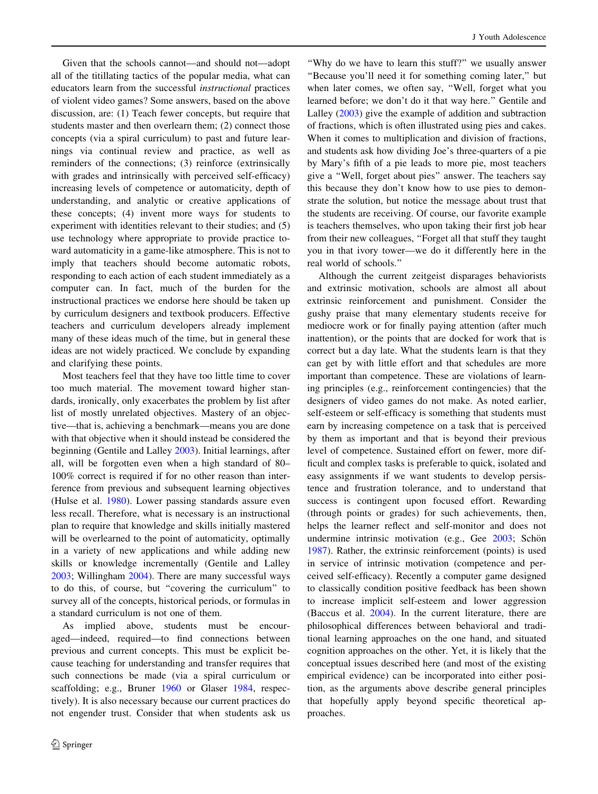Given that the schools cannot—and should not—adopt all of the titillating tactics of the popular media, what can educators learn from the successful instructional practices of violent video games? Some answers, based on the above discussion, are: (1) Teach fewer concepts, but require that students master and then overlearn them; (2) connect those concepts (via a spiral curriculum) to past and future learnings via continual review and practice, as well as reminders of the connections; (3) reinforce (extrinsically with grades and intrinsically with perceived self-efficacy) increasing levels of competence or automaticity, depth of understanding, and analytic or creative applications of these concepts; (4) invent more ways for students to experiment with identities relevant to their studies; and (5) use technology where appropriate to provide practice toward automaticity in a game-like atmosphere. This is not to imply that teachers should become automatic robots, responding to each action of each student immediately as a computer can. In fact, much of the burden for the instructional practices we endorse here should be taken up by curriculum designers and textbook producers. Effective teachers and curriculum developers already implement many of these ideas much of the time, but in general these ideas are not widely practiced. We conclude by expanding and clarifying these points.

Most teachers feel that they have too little time to cover too much material. The movement toward higher standards, ironically, only exacerbates the problem by list after list of mostly unrelated objectives. Mastery of an objective—that is, achieving a benchmark—means you are done with that objective when it should instead be considered the beginning (Gentile and Lalley [2003](#page-13-0)). Initial learnings, after all, will be forgotten even when a high standard of 80– 100% correct is required if for no other reason than interference from previous and subsequent learning objectives (Hulse et al. [1980\)](#page-13-0). Lower passing standards assure even less recall. Therefore, what is necessary is an instructional plan to require that knowledge and skills initially mastered will be overlearned to the point of automaticity, optimally in a variety of new applications and while adding new skills or knowledge incrementally (Gentile and Lalley [2003;](#page-13-0) Willingham [2004](#page-14-0)). There are many successful ways to do this, of course, but ''covering the curriculum'' to survey all of the concepts, historical periods, or formulas in a standard curriculum is not one of them.

As implied above, students must be encouraged—indeed, required—to find connections between previous and current concepts. This must be explicit because teaching for understanding and transfer requires that such connections be made (via a spiral curriculum or scaffolding; e.g., Bruner [1960](#page-12-0) or Glaser [1984](#page-13-0), respectively). It is also necessary because our current practices do not engender trust. Consider that when students ask us

''Why do we have to learn this stuff?'' we usually answer ''Because you'll need it for something coming later,'' but when later comes, we often say, ''Well, forget what you learned before; we don't do it that way here.'' Gentile and Lalley ([2003\)](#page-13-0) give the example of addition and subtraction of fractions, which is often illustrated using pies and cakes. When it comes to multiplication and division of fractions, and students ask how dividing Joe's three-quarters of a pie by Mary's fifth of a pie leads to more pie, most teachers give a ''Well, forget about pies'' answer. The teachers say this because they don't know how to use pies to demonstrate the solution, but notice the message about trust that the students are receiving. Of course, our favorite example is teachers themselves, who upon taking their first job hear from their new colleagues, ''Forget all that stuff they taught you in that ivory tower—we do it differently here in the real world of schools.''

Although the current zeitgeist disparages behaviorists and extrinsic motivation, schools are almost all about extrinsic reinforcement and punishment. Consider the gushy praise that many elementary students receive for mediocre work or for finally paying attention (after much inattention), or the points that are docked for work that is correct but a day late. What the students learn is that they can get by with little effort and that schedules are more important than competence. These are violations of learning principles (e.g., reinforcement contingencies) that the designers of video games do not make. As noted earlier, self-esteem or self-efficacy is something that students must earn by increasing competence on a task that is perceived by them as important and that is beyond their previous level of competence. Sustained effort on fewer, more difficult and complex tasks is preferable to quick, isolated and easy assignments if we want students to develop persistence and frustration tolerance, and to understand that success is contingent upon focused effort. Rewarding (through points or grades) for such achievements, then, helps the learner reflect and self-monitor and does not undermine intrinsic motivation (e.g., Gee [2003;](#page-13-0) Schön [1987](#page-14-0)). Rather, the extrinsic reinforcement (points) is used in service of intrinsic motivation (competence and perceived self-efficacy). Recently a computer game designed to classically condition positive feedback has been shown to increase implicit self-esteem and lower aggression (Baccus et al. [2004\)](#page-12-0). In the current literature, there are philosophical differences between behavioral and traditional learning approaches on the one hand, and situated cognition approaches on the other. Yet, it is likely that the conceptual issues described here (and most of the existing empirical evidence) can be incorporated into either position, as the arguments above describe general principles that hopefully apply beyond specific theoretical approaches.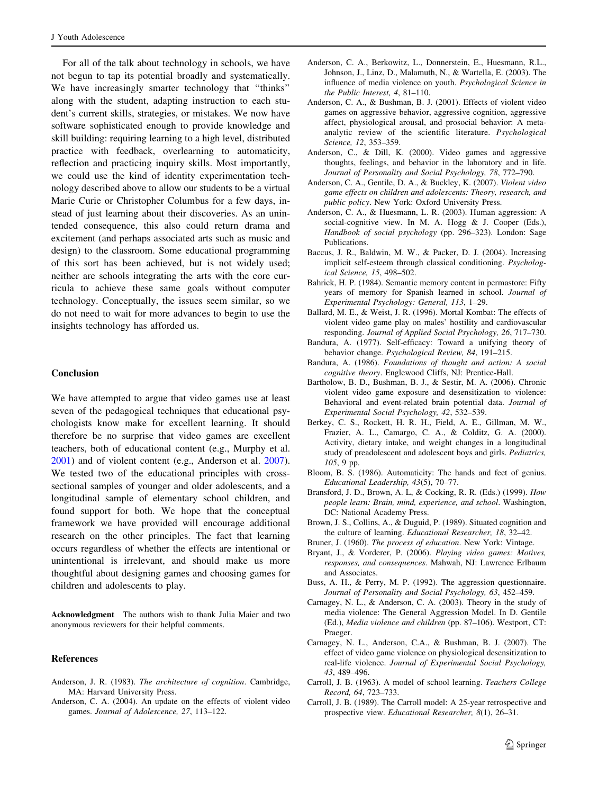<span id="page-12-0"></span>For all of the talk about technology in schools, we have not begun to tap its potential broadly and systematically. We have increasingly smarter technology that ''thinks'' along with the student, adapting instruction to each student's current skills, strategies, or mistakes. We now have software sophisticated enough to provide knowledge and skill building: requiring learning to a high level, distributed practice with feedback, overlearning to automaticity, reflection and practicing inquiry skills. Most importantly, we could use the kind of identity experimentation technology described above to allow our students to be a virtual Marie Curie or Christopher Columbus for a few days, instead of just learning about their discoveries. As an unintended consequence, this also could return drama and excitement (and perhaps associated arts such as music and design) to the classroom. Some educational programming of this sort has been achieved, but is not widely used; neither are schools integrating the arts with the core curricula to achieve these same goals without computer technology. Conceptually, the issues seem similar, so we do not need to wait for more advances to begin to use the insights technology has afforded us.

#### **Conclusion**

We have attempted to argue that video games use at least seven of the pedagogical techniques that educational psychologists know make for excellent learning. It should therefore be no surprise that video games are excellent teachers, both of educational content (e.g., Murphy et al. [2001\)](#page-13-0) and of violent content (e.g., Anderson et al. 2007). We tested two of the educational principles with crosssectional samples of younger and older adolescents, and a longitudinal sample of elementary school children, and found support for both. We hope that the conceptual framework we have provided will encourage additional research on the other principles. The fact that learning occurs regardless of whether the effects are intentional or unintentional is irrelevant, and should make us more thoughtful about designing games and choosing games for children and adolescents to play.

Acknowledgment The authors wish to thank Julia Maier and two anonymous reviewers for their helpful comments.

#### References

- Anderson, J. R. (1983). The architecture of cognition. Cambridge, MA: Harvard University Press.
- Anderson, C. A. (2004). An update on the effects of violent video games. Journal of Adolescence, 27, 113–122.
- Anderson, C. A., Berkowitz, L., Donnerstein, E., Huesmann, R.L., Johnson, J., Linz, D., Malamuth, N., & Wartella, E. (2003). The influence of media violence on youth. Psychological Science in the Public Interest, 4, 81–110.
- Anderson, C. A., & Bushman, B. J. (2001). Effects of violent video games on aggressive behavior, aggressive cognition, aggressive affect, physiological arousal, and prosocial behavior: A metaanalytic review of the scientific literature. Psychological Science, 12, 353–359.
- Anderson, C., & Dill, K. (2000). Video games and aggressive thoughts, feelings, and behavior in the laboratory and in life. Journal of Personality and Social Psychology, 78, 772–790.
- Anderson, C. A., Gentile, D. A., & Buckley, K. (2007). Violent video game effects on children and adolescents: Theory, research, and public policy. New York: Oxford University Press.
- Anderson, C. A., & Huesmann, L. R. (2003). Human aggression: A social-cognitive view. In M. A. Hogg & J. Cooper (Eds.), Handbook of social psychology (pp. 296–323). London: Sage Publications.
- Baccus, J. R., Baldwin, M. W., & Packer, D. J. (2004). Increasing implicit self-esteem through classical conditioning. Psychological Science, 15, 498–502.
- Bahrick, H. P. (1984). Semantic memory content in permastore: Fifty years of memory for Spanish learned in school. Journal of Experimental Psychology: General, 113, 1–29.
- Ballard, M. E., & Weist, J. R. (1996). Mortal Kombat: The effects of violent video game play on males' hostility and cardiovascular responding. Journal of Applied Social Psychology, 26, 717–730.
- Bandura, A. (1977). Self-efficacy: Toward a unifying theory of behavior change. Psychological Review, 84, 191–215.
- Bandura, A. (1986). Foundations of thought and action: A social cognitive theory. Englewood Cliffs, NJ: Prentice-Hall.
- Bartholow, B. D., Bushman, B. J., & Sestir, M. A. (2006). Chronic violent video game exposure and desensitization to violence: Behavioral and event-related brain potential data. Journal of Experimental Social Psychology, 42, 532–539.
- Berkey, C. S., Rockett, H. R. H., Field, A. E., Gillman, M. W., Frazier, A. L., Camargo, C. A., & Colditz, G. A. (2000). Activity, dietary intake, and weight changes in a longitudinal study of preadolescent and adolescent boys and girls. Pediatrics, 105, 9 pp.
- Bloom, B. S. (1986). Automaticity: The hands and feet of genius. Educational Leadership, 43(5), 70–77.
- Bransford, J. D., Brown, A. L, & Cocking, R. R. (Eds.) (1999). How people learn: Brain, mind, experience, and school. Washington, DC: National Academy Press.
- Brown, J. S., Collins, A., & Duguid, P. (1989). Situated cognition and the culture of learning. Educational Researcher, 18, 32–42.
- Bruner, J. (1960). The process of education. New York: Vintage.
- Bryant, J., & Vorderer, P. (2006). Playing video games: Motives, responses, and consequences. Mahwah, NJ: Lawrence Erlbaum and Associates.
- Buss, A. H., & Perry, M. P. (1992). The aggression questionnaire. Journal of Personality and Social Psychology, 63, 452–459.
- Carnagey, N. L., & Anderson, C. A. (2003). Theory in the study of media violence: The General Aggression Model. In D. Gentile (Ed.), Media violence and children (pp. 87–106). Westport, CT: Praeger.
- Carnagey, N. L., Anderson, C.A., & Bushman, B. J. (2007). The effect of video game violence on physiological desensitization to real-life violence. Journal of Experimental Social Psychology, 43, 489–496.
- Carroll, J. B. (1963). A model of school learning. Teachers College Record, 64, 723–733.
- Carroll, J. B. (1989). The Carroll model: A 25-year retrospective and prospective view. Educational Researcher, 8(1), 26–31.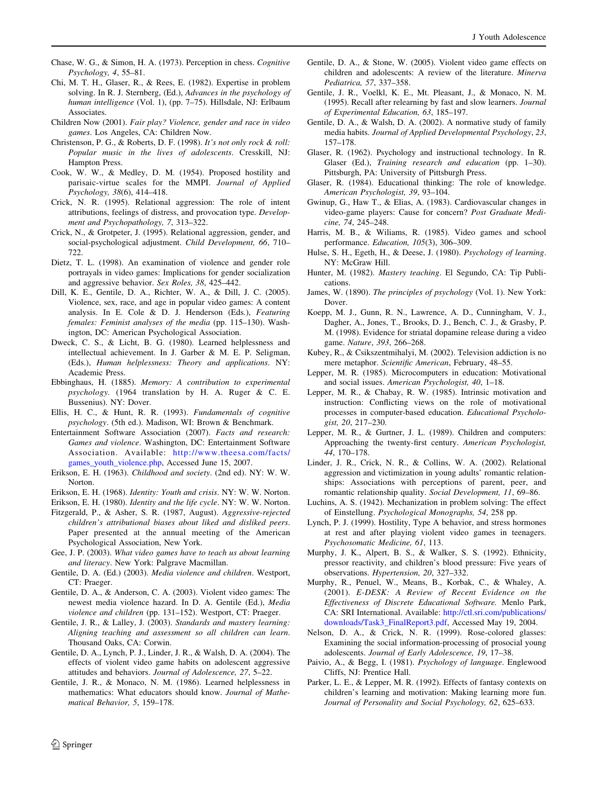- <span id="page-13-0"></span>Chase, W. G., & Simon, H. A. (1973). Perception in chess. Cognitive Psychology, 4, 55–81.
- Chi, M. T. H., Glaser, R., & Rees, E. (1982). Expertise in problem solving. In R. J. Sternberg, (Ed.), Advances in the psychology of human intelligence (Vol. 1), (pp. 7–75). Hillsdale, NJ: Erlbaum Associates.
- Children Now (2001). Fair play? Violence, gender and race in video games. Los Angeles, CA: Children Now.
- Christenson, P. G., & Roberts, D. F. (1998). It's not only rock & roll: Popular music in the lives of adolescents. Cresskill, NJ: Hampton Press.
- Cook, W. W., & Medley, D. M. (1954). Proposed hostility and parisaic-virtue scales for the MMPI. Journal of Applied Psychology, 38(6), 414–418.
- Crick, N. R. (1995). Relational aggression: The role of intent attributions, feelings of distress, and provocation type. Development and Psychopathology, 7, 313–322.
- Crick, N., & Grotpeter, J. (1995). Relational aggression, gender, and social-psychological adjustment. Child Development, 66, 710– 722.
- Dietz, T. L. (1998). An examination of violence and gender role portrayals in video games: Implications for gender socialization and aggressive behavior. Sex Roles, 38, 425–442.
- Dill, K. E., Gentile, D. A., Richter, W. A., & Dill, J. C. (2005). Violence, sex, race, and age in popular video games: A content analysis. In E. Cole & D. J. Henderson (Eds.), Featuring females: Feminist analyses of the media (pp. 115-130). Washington, DC: American Psychological Association.
- Dweck, C. S., & Licht, B. G. (1980). Learned helplessness and intellectual achievement. In J. Garber & M. E. P. Seligman, (Eds.), Human helplessness: Theory and applications. NY: Academic Press.
- Ebbinghaus, H. (1885). Memory: A contribution to experimental psychology. (1964 translation by H. A. Ruger & C. E. Bussenius). NY: Dover.
- Ellis, H. C., & Hunt, R. R. (1993). Fundamentals of cognitive psychology. (5th ed.). Madison, WI: Brown & Benchmark.
- Entertainment Software Association (2007). Facts and research: Games and violence. Washington, DC: Entertainment Software Association. Available: [http://www.theesa.com/facts/](http://www.theesa.com/facts/games_youth_violence.php) [games\\_youth\\_violence.php](http://www.theesa.com/facts/games_youth_violence.php), Accessed June 15, 2007.
- Erikson, E. H. (1963). Childhood and society. (2nd ed). NY: W. W. Norton.
- Erikson, E. H. (1968). *Identity: Youth and crisis*. NY: W. W. Norton.
- Erikson, E. H. (1980). Identity and the life cycle. NY: W. W. Norton. Fitzgerald, P., & Asher, S. R. (1987, August). Aggressive-rejected
- children's attributional biases about liked and disliked peers. Paper presented at the annual meeting of the American Psychological Association, New York.
- Gee, J. P. (2003). What video games have to teach us about learning and literacy. New York: Palgrave Macmillan.
- Gentile, D. A. (Ed.) (2003). Media violence and children. Westport, CT: Praeger.
- Gentile, D. A., & Anderson, C. A. (2003). Violent video games: The newest media violence hazard. In D. A. Gentile (Ed.), Media violence and children (pp. 131–152). Westport, CT: Praeger.
- Gentile, J. R., & Lalley, J. (2003). Standards and mastery learning: Aligning teaching and assessment so all children can learn. Thousand Oaks, CA: Corwin.
- Gentile, D. A., Lynch, P. J., Linder, J. R., & Walsh, D. A. (2004). The effects of violent video game habits on adolescent aggressive attitudes and behaviors. Journal of Adolescence, 27, 5–22.
- Gentile, J. R., & Monaco, N. M. (1986). Learned helplessness in mathematics: What educators should know. Journal of Mathematical Behavior, 5, 159–178.
- Gentile, D. A., & Stone, W. (2005). Violent video game effects on children and adolescents: A review of the literature. Minerva Pediatrica, 57, 337–358.
- Gentile, J. R., Voelkl, K. E., Mt. Pleasant, J., & Monaco, N. M. (1995). Recall after relearning by fast and slow learners. Journal of Experimental Education, 63, 185–197.
- Gentile, D. A., & Walsh, D. A. (2002). A normative study of family media habits. Journal of Applied Developmental Psychology, 23, 157–178.
- Glaser, R. (1962). Psychology and instructional technology. In R. Glaser (Ed.), Training research and education (pp. 1-30). Pittsburgh, PA: University of Pittsburgh Press.
- Glaser, R. (1984). Educational thinking: The role of knowledge. American Psychologist, 39, 93–104.
- Gwinup, G., Haw T., & Elias, A. (1983). Cardiovascular changes in video-game players: Cause for concern? Post Graduate Medicine, 74, 245–248.
- Harris, M. B., & Wiliams, R. (1985). Video games and school performance. Education, 105(3), 306–309.
- Hulse, S. H., Egeth, H., & Deese, J. (1980). Psychology of learning. NY: McGraw Hill.
- Hunter, M. (1982). Mastery teaching. El Segundo, CA: Tip Publications.
- James, W. (1890). The principles of psychology (Vol. 1). New York: Dover.
- Koepp, M. J., Gunn, R. N., Lawrence, A. D., Cunningham, V. J., Dagher, A., Jones, T., Brooks, D. J., Bench, C. J., & Grasby, P. M. (1998). Evidence for striatal dopamine release during a video game. Nature, 393, 266–268.
- Kubey, R., & Csikszentmihalyi, M. (2002). Television addiction is no mere metaphor. Scientific American, February, 48–55.
- Lepper, M. R. (1985). Microcomputers in education: Motivational and social issues. American Psychologist, 40, 1–18.
- Lepper, M. R., & Chabay, R. W. (1985). Intrinsic motivation and instruction: Conflicting views on the role of motivational processes in computer-based education. Educational Psychologist, 20, 217–230.
- Lepper, M. R., & Gurtner, J. L. (1989). Children and computers: Approaching the twenty-first century. American Psychologist, 44, 170–178.
- Linder, J. R., Crick, N. R., & Collins, W. A. (2002). Relational aggression and victimization in young adults' romantic relationships: Associations with perceptions of parent, peer, and romantic relationship quality. Social Development, 11, 69–86.
- Luchins, A. S. (1942). Mechanization in problem solving: The effect of Einstellung. Psychological Monographs, 54, 258 pp.
- Lynch, P. J. (1999). Hostility, Type A behavior, and stress hormones at rest and after playing violent video games in teenagers. Psychosomatic Medicine, 61, 113.
- Murphy, J. K., Alpert, B. S., & Walker, S. S. (1992). Ethnicity, pressor reactivity, and children's blood pressure: Five years of observations. Hypertension, 20, 327–332.
- Murphy, R., Penuel, W., Means, B., Korbak, C., & Whaley, A. (2001). E-DESK: A Review of Recent Evidence on the Effectiveness of Discrete Educational Software. Menlo Park, CA: SRI International. Available: [http://ctl.sri.com/publications/](http://ctl.sri.com/publications/downloads/Task3_FinalReport3.pdf) [downloads/Task3\\_FinalReport3.pdf](http://ctl.sri.com/publications/downloads/Task3_FinalReport3.pdf), Accessed May 19, 2004.
- Nelson, D. A., & Crick, N. R. (1999). Rose-colored glasses: Examining the social information-processing of prosocial young adolescents. Journal of Early Adolescence, 19, 17–38.
- Paivio, A., & Begg, I. (1981). Psychology of language. Englewood Cliffs, NJ: Prentice Hall.
- Parker, L. E., & Lepper, M. R. (1992). Effects of fantasy contexts on children's learning and motivation: Making learning more fun. Journal of Personality and Social Psychology, 62, 625–633.